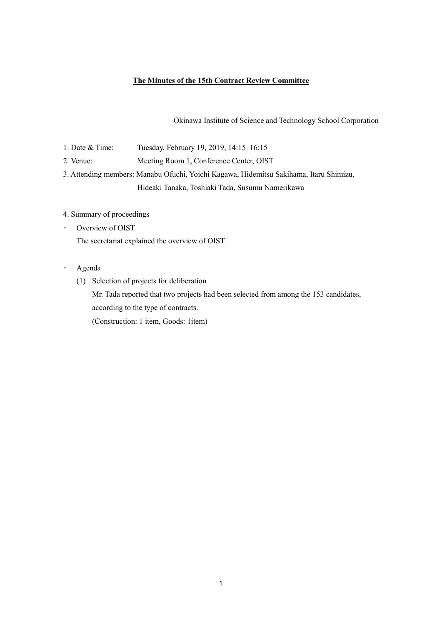## **The Minutes of the 15th Contract Review Committee**

Okinawa Institute of Science and Technology School Corporation

- 1. Date & Time: Tuesday, February 19, 2019, 14:15–16:15
- 2. Venue: Meeting Room 1, Conference Center, OIST

3. Attending members: Manabu Ofuchi, Yoichi Kagawa, Hidemitsu Sakihama, Itaru Shimizu, Hideaki Tanaka, Toshiaki Tada, Susumu Namerikawa

## 4. Summary of proceedings

◦ Overview of OIST

The secretariat explained the overview of OIST.

- Agenda
	- (1) Selection of projects for deliberation

Mr. Tada reported that two projects had been selected from among the 153 candidates, according to the type of contracts.

(Construction: 1 item, Goods: 1item)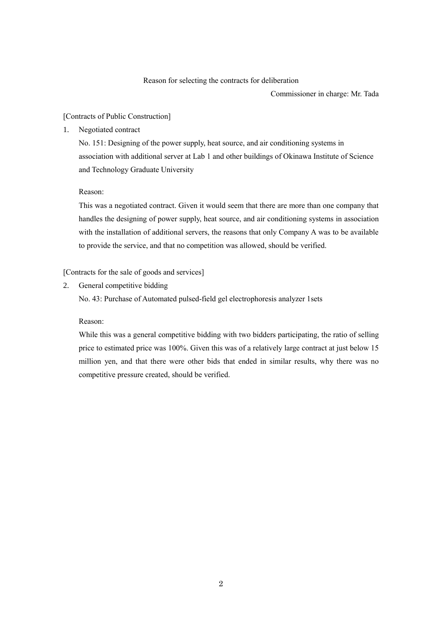#### Reason for selecting the contracts for deliberation

Commissioner in charge: Mr. Tada

## [Contracts of Public Construction]

1. Negotiated contract

No. 151: Designing of the power supply, heat source, and air conditioning systems in association with additional server at Lab 1 and other buildings of Okinawa Institute of Science and Technology Graduate University

### Reason:

This was a negotiated contract. Given it would seem that there are more than one company that handles the designing of power supply, heat source, and air conditioning systems in association with the installation of additional servers, the reasons that only Company A was to be available to provide the service, and that no competition was allowed, should be verified.

# [Contracts for the sale of goods and services]

2. General competitive bidding

No. 43: Purchase of Automated pulsed-field gel electrophoresis analyzer 1sets

## Reason:

While this was a general competitive bidding with two bidders participating, the ratio of selling price to estimated price was 100%. Given this was of a relatively large contract at just below 15 million yen, and that there were other bids that ended in similar results, why there was no competitive pressure created, should be verified.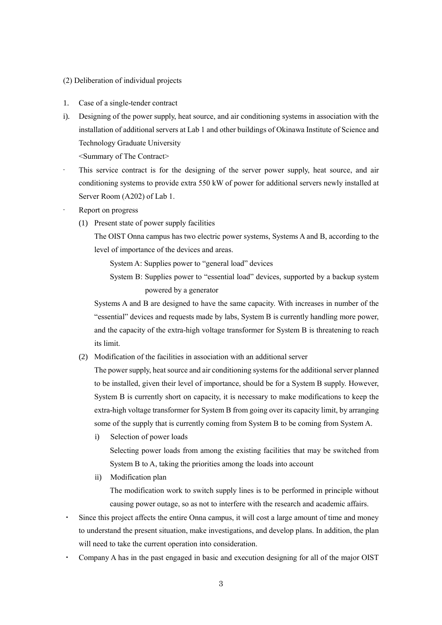### (2) Deliberation of individual projects

- 1. Case of a single-tender contract
- i). Designing of the power supply, heat source, and air conditioning systems in association with the installation of additional servers at Lab 1 and other buildings of Okinawa Institute of Science and Technology Graduate University

<Summary of The Contract>

- This service contract is for the designing of the server power supply, heat source, and air conditioning systems to provide extra 550 kW of power for additional servers newly installed at Server Room (A202) of Lab 1.
- Report on progress
	- (1) Present state of power supply facilities

The OIST Onna campus has two electric power systems, Systems A and B, according to the level of importance of the devices and areas.

System A: Supplies power to "general load" devices

System B: Supplies power to "essential load" devices, supported by a backup system powered by a generator

Systems A and B are designed to have the same capacity. With increases in number of the "essential" devices and requests made by labs, System B is currently handling more power, and the capacity of the extra-high voltage transformer for System B is threatening to reach its limit.

(2) Modification of the facilities in association with an additional server

The power supply, heat source and air conditioning systems for the additional server planned to be installed, given their level of importance, should be for a System B supply. However, System B is currently short on capacity, it is necessary to make modifications to keep the extra-high voltage transformer for System B from going over its capacity limit, by arranging some of the supply that is currently coming from System B to be coming from System A.

i) Selection of power loads

Selecting power loads from among the existing facilities that may be switched from System B to A, taking the priorities among the loads into account

ii) Modification plan

The modification work to switch supply lines is to be performed in principle without causing power outage, so as not to interfere with the research and academic affairs.

- Since this project affects the entire Onna campus, it will cost a large amount of time and money to understand the present situation, make investigations, and develop plans. In addition, the plan will need to take the current operation into consideration.
- Company A has in the past engaged in basic and execution designing for all of the major OIST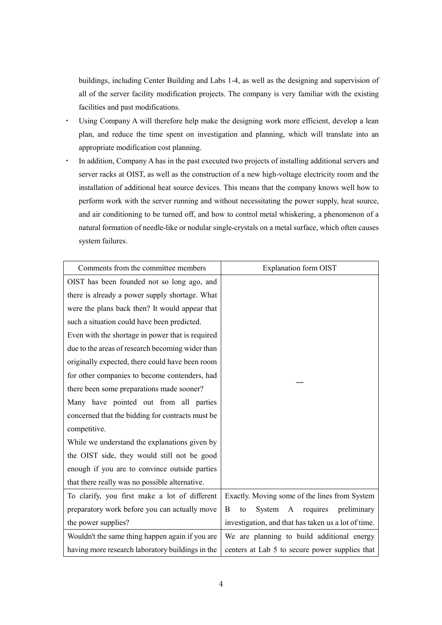buildings, including Center Building and Labs 1-4, as well as the designing and supervision of all of the server facility modification projects. The company is very familiar with the existing facilities and past modifications.

- ・ Using Company A will therefore help make the designing work more efficient, develop a lean plan, and reduce the time spent on investigation and planning, which will translate into an appropriate modification cost planning.
- ・ In addition, Company A has in the past executed two projects of installing additional servers and server racks at OIST, as well as the construction of a new high-voltage electricity room and the installation of additional heat source devices. This means that the company knows well how to perform work with the server running and without necessitating the power supply, heat source, and air conditioning to be turned off, and how to control metal whiskering, a phenomenon of a natural formation of needle-like or nodular single-crystals on a metal surface, which often causes system failures.

| Comments from the committee members              | <b>Explanation form OIST</b>                        |
|--------------------------------------------------|-----------------------------------------------------|
| OIST has been founded not so long ago, and       |                                                     |
| there is already a power supply shortage. What   |                                                     |
| were the plans back then? It would appear that   |                                                     |
| such a situation could have been predicted.      |                                                     |
| Even with the shortage in power that is required |                                                     |
| due to the areas of research becoming wider than |                                                     |
| originally expected, there could have been room  |                                                     |
| for other companies to become contenders, had    |                                                     |
| there been some preparations made sooner?        |                                                     |
| Many have pointed out from all parties           |                                                     |
| concerned that the bidding for contracts must be |                                                     |
| competitive.                                     |                                                     |
| While we understand the explanations given by    |                                                     |
| the OIST side, they would still not be good      |                                                     |
| enough if you are to convince outside parties    |                                                     |
| that there really was no possible alternative.   |                                                     |
| To clarify, you first make a lot of different    | Exactly. Moving some of the lines from System       |
| preparatory work before you can actually move    | requires<br>preliminary<br>System<br>A<br>B<br>to   |
| the power supplies?                              | investigation, and that has taken us a lot of time. |
| Wouldn't the same thing happen again if you are  | We are planning to build additional energy          |
| having more research laboratory buildings in the | centers at Lab 5 to secure power supplies that      |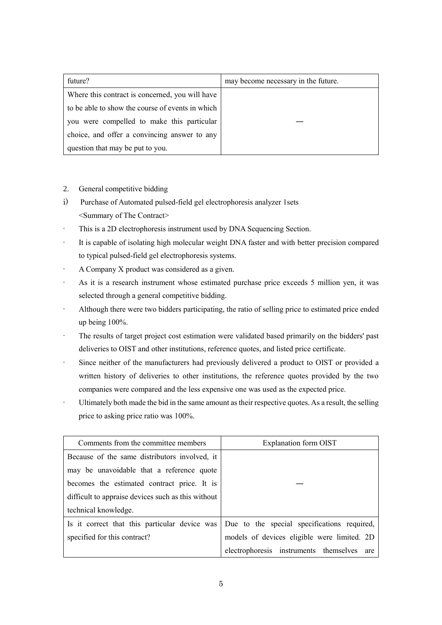| future?                                          | may become necessary in the future. |
|--------------------------------------------------|-------------------------------------|
| Where this contract is concerned, you will have  |                                     |
| to be able to show the course of events in which |                                     |
| you were compelled to make this particular       |                                     |
| choice, and offer a convincing answer to any     |                                     |
| question that may be put to you.                 |                                     |

- 2. General competitive bidding
- i) Purchase of Automated pulsed-field gel electrophoresis analyzer 1sets <Summary of The Contract>
- This is a 2D electrophoresis instrument used by DNA Sequencing Section.
- It is capable of isolating high molecular weight DNA faster and with better precision compared to typical pulsed-field gel electrophoresis systems.
- A Company X product was considered as a given.
- As it is a research instrument whose estimated purchase price exceeds 5 million yen, it was selected through a general competitive bidding.
- Although there were two bidders participating, the ratio of selling price to estimated price ended up being 100%.
- The results of target project cost estimation were validated based primarily on the bidders' past deliveries to OIST and other institutions, reference quotes, and listed price certificate.
- Since neither of the manufacturers had previously delivered a product to OIST or provided a written history of deliveries to other institutions, the reference quotes provided by the two companies were compared and the less expensive one was used as the expected price.
- Ultimately both made the bid in the same amount as their respective quotes. As a result, the selling price to asking price ratio was 100%.

| Comments from the committee members                | Explanation form OIST                                                                     |
|----------------------------------------------------|-------------------------------------------------------------------------------------------|
| Because of the same distributors involved, it      |                                                                                           |
| may be unavoidable that a reference quote          |                                                                                           |
| becomes the estimated contract price. It is        |                                                                                           |
| difficult to appraise devices such as this without |                                                                                           |
| technical knowledge.                               |                                                                                           |
|                                                    | Is it correct that this particular device was Due to the special specifications required, |
| specified for this contract?                       | models of devices eligible were limited. 2D                                               |
|                                                    | electrophoresis instruments themselves are                                                |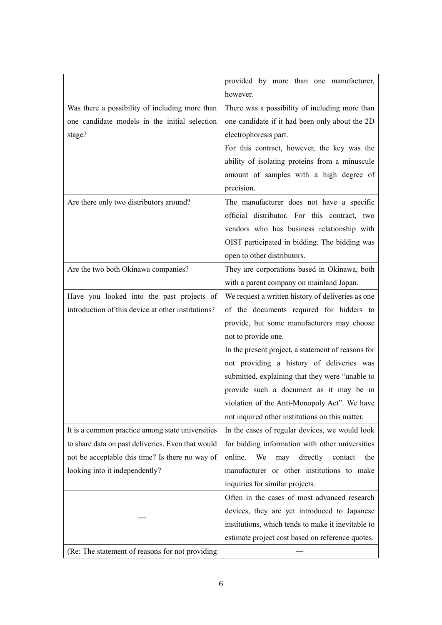|                                                    | provided by more than one manufacturer,            |
|----------------------------------------------------|----------------------------------------------------|
|                                                    | however.                                           |
| Was there a possibility of including more than     | There was a possibility of including more than     |
| one candidate models in the initial selection      | one candidate if it had been only about the 2D     |
| stage?                                             | electrophoresis part.                              |
|                                                    | For this contract, however, the key was the        |
|                                                    | ability of isolating proteins from a minuscule     |
|                                                    | amount of samples with a high degree of            |
|                                                    | precision.                                         |
| Are there only two distributors around?            | The manufacturer does not have a specific          |
|                                                    | official distributor. For this contract, two       |
|                                                    | vendors who has business relationship with         |
|                                                    | OIST participated in bidding. The bidding was      |
|                                                    | open to other distributors.                        |
| Are the two both Okinawa companies?                | They are corporations based in Okinawa, both       |
|                                                    | with a parent company on mainland Japan.           |
| Have you looked into the past projects of          | We request a written history of deliveries as one  |
| introduction of this device at other institutions? | of the documents required for bidders to           |
|                                                    | provide, but some manufacturers may choose         |
|                                                    | not to provide one.                                |
|                                                    | In the present project, a statement of reasons for |
|                                                    | not providing a history of deliveries was          |
|                                                    | submitted, explaining that they were "unable to    |
|                                                    | provide such a document as it may be in            |
|                                                    | violation of the Anti-Monopoly Act". We have       |
|                                                    | not inquired other institutions on this matter.    |
| It is a common practice among state universities   | In the cases of regular devices, we would look     |
| to share data on past deliveries. Even that would  | for bidding information with other universities    |
| not be acceptable this time? Is there no way of    | online.<br>directly<br>contact<br>We<br>may<br>the |
| looking into it independently?                     | manufacturer or other institutions to make         |
|                                                    | inquiries for similar projects.                    |
|                                                    | Often in the cases of most advanced research       |
|                                                    | devices, they are yet introduced to Japanese       |
|                                                    | institutions, which tends to make it inevitable to |
|                                                    | estimate project cost based on reference quotes.   |
| (Re: The statement of reasons for not providing    |                                                    |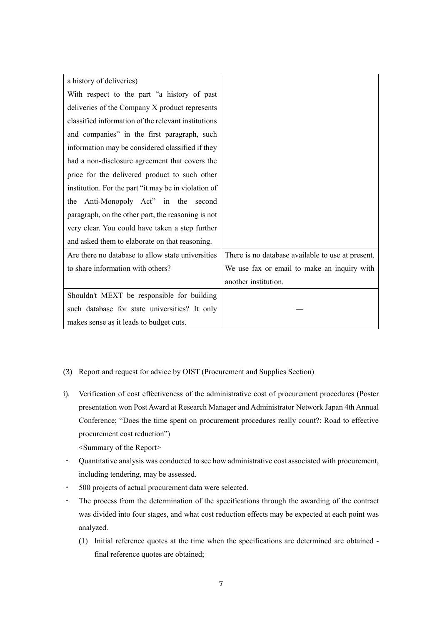| a history of deliveries)                             |                                                   |
|------------------------------------------------------|---------------------------------------------------|
| With respect to the part "a history of past          |                                                   |
| deliveries of the Company X product represents       |                                                   |
| classified information of the relevant institutions  |                                                   |
| and companies" in the first paragraph, such          |                                                   |
| information may be considered classified if they     |                                                   |
| had a non-disclosure agreement that covers the       |                                                   |
| price for the delivered product to such other        |                                                   |
| institution. For the part "it may be in violation of |                                                   |
| Anti-Monopoly Act" in the second<br>the              |                                                   |
| paragraph, on the other part, the reasoning is not   |                                                   |
| very clear. You could have taken a step further      |                                                   |
| and asked them to elaborate on that reasoning.       |                                                   |
| Are there no database to allow state universities    | There is no database available to use at present. |
| to share information with others?                    | We use fax or email to make an inquiry with       |
|                                                      | another institution.                              |
| Shouldn't MEXT be responsible for building           |                                                   |
| such database for state universities? It only        |                                                   |
| makes sense as it leads to budget cuts.              |                                                   |

- (3) Report and request for advice by OIST (Procurement and Supplies Section)
- i). Verification of cost effectiveness of the administrative cost of procurement procedures (Poster presentation won Post Award at Research Manager and Administrator Network Japan 4th Annual Conference; "Does the time spent on procurement procedures really count?: Road to effective procurement cost reduction") <Summary of the Report>
- ・ Quantitative analysis was conducted to see how administrative cost associated with procurement, including tendering, may be assessed.
- ・ 500 projects of actual procurement data were selected.
- ・ The process from the determination of the specifications through the awarding of the contract was divided into four stages, and what cost reduction effects may be expected at each point was analyzed.
	- (1) Initial reference quotes at the time when the specifications are determined are obtained final reference quotes are obtained;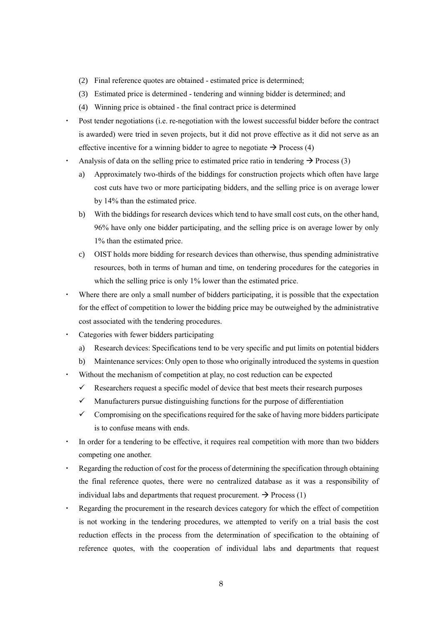- (2) Final reference quotes are obtained estimated price is determined;
- (3) Estimated price is determined tendering and winning bidder is determined; and
- (4) Winning price is obtained the final contract price is determined
- Post tender negotiations (i.e. re-negotiation with the lowest successful bidder before the contract is awarded) were tried in seven projects, but it did not prove effective as it did not serve as an effective incentive for a winning bidder to agree to negotiate  $\rightarrow$  Process (4)
- Analysis of data on the selling price to estimated price ratio in tendering  $\rightarrow$  Process (3)
	- a) Approximately two-thirds of the biddings for construction projects which often have large cost cuts have two or more participating bidders, and the selling price is on average lower by 14% than the estimated price.
	- b) With the biddings for research devices which tend to have small cost cuts, on the other hand, 96% have only one bidder participating, and the selling price is on average lower by only 1% than the estimated price.
	- c) OIST holds more bidding for research devices than otherwise, thus spending administrative resources, both in terms of human and time, on tendering procedures for the categories in which the selling price is only 1% lower than the estimated price.
- Where there are only a small number of bidders participating, it is possible that the expectation for the effect of competition to lower the bidding price may be outweighed by the administrative cost associated with the tendering procedures.
- Categories with fewer bidders participating
	- a) Research devices: Specifications tend to be very specific and put limits on potential bidders
	- b) Maintenance services: Only open to those who originally introduced the systems in question
- Without the mechanism of competition at play, no cost reduction can be expected
	- $\checkmark$  Researchers request a specific model of device that best meets their research purposes
	- $\checkmark$  Manufacturers pursue distinguishing functions for the purpose of differentiation
	- $\checkmark$  Compromising on the specifications required for the sake of having more bidders participate is to confuse means with ends.
- In order for a tendering to be effective, it requires real competition with more than two bidders competing one another.
- Regarding the reduction of cost for the process of determining the specification through obtaining the final reference quotes, there were no centralized database as it was a responsibility of individual labs and departments that request procurement.  $\rightarrow$  Process (1)
- Regarding the procurement in the research devices category for which the effect of competition is not working in the tendering procedures, we attempted to verify on a trial basis the cost reduction effects in the process from the determination of specification to the obtaining of reference quotes, with the cooperation of individual labs and departments that request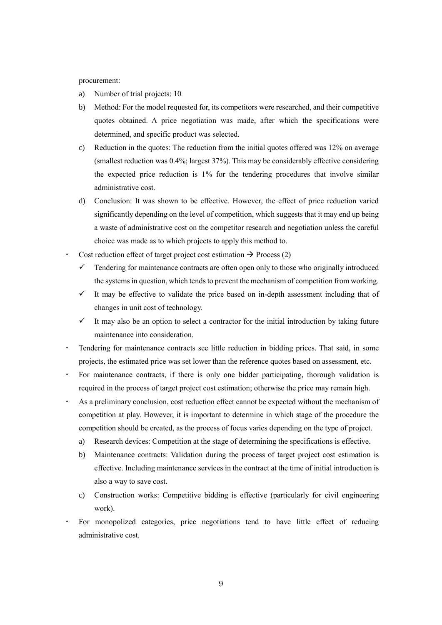#### procurement:

- a) Number of trial projects: 10
- b) Method: For the model requested for, its competitors were researched, and their competitive quotes obtained. A price negotiation was made, after which the specifications were determined, and specific product was selected.
- c) Reduction in the quotes: The reduction from the initial quotes offered was 12% on average (smallest reduction was 0.4%; largest 37%). This may be considerably effective considering the expected price reduction is 1% for the tendering procedures that involve similar administrative cost.
- d) Conclusion: It was shown to be effective. However, the effect of price reduction varied significantly depending on the level of competition, which suggests that it may end up being a waste of administrative cost on the competitor research and negotiation unless the careful choice was made as to which projects to apply this method to.
- Cost reduction effect of target project cost estimation  $\rightarrow$  Process (2)
	- $\checkmark$  Tendering for maintenance contracts are often open only to those who originally introduced the systemsin question, which tends to prevent the mechanism of competition from working.
	- $\checkmark$  It may be effective to validate the price based on in-depth assessment including that of changes in unit cost of technology.
	- It may also be an option to select a contractor for the initial introduction by taking future maintenance into consideration.
- Tendering for maintenance contracts see little reduction in bidding prices. That said, in some projects, the estimated price was set lower than the reference quotes based on assessment, etc.
- For maintenance contracts, if there is only one bidder participating, thorough validation is required in the process of target project cost estimation; otherwise the price may remain high.
- As a preliminary conclusion, cost reduction effect cannot be expected without the mechanism of competition at play. However, it is important to determine in which stage of the procedure the competition should be created, as the process of focus varies depending on the type of project.
	- a) Research devices: Competition at the stage of determining the specifications is effective.
	- b) Maintenance contracts: Validation during the process of target project cost estimation is effective. Including maintenance services in the contract at the time of initial introduction is also a way to save cost.
	- c) Construction works: Competitive bidding is effective (particularly for civil engineering work).
	- For monopolized categories, price negotiations tend to have little effect of reducing administrative cost.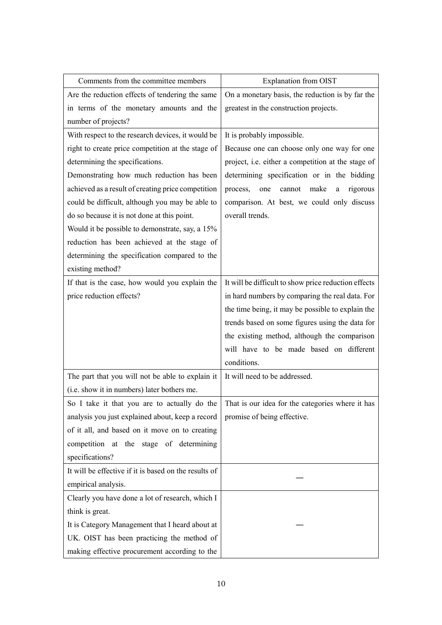| Comments from the committee members                   | Explanation from OIST                                     |
|-------------------------------------------------------|-----------------------------------------------------------|
| Are the reduction effects of tendering the same       | On a monetary basis, the reduction is by far the          |
| in terms of the monetary amounts and the              | greatest in the construction projects.                    |
| number of projects?                                   |                                                           |
| With respect to the research devices, it would be     | It is probably impossible.                                |
| right to create price competition at the stage of     | Because one can choose only one way for one               |
| determining the specifications.                       | project, i.e. either a competition at the stage of        |
| Demonstrating how much reduction has been             | determining specification or in the bidding               |
| achieved as a result of creating price competition    | cannot<br>make<br>rigorous<br>process,<br>one<br>$\rm{a}$ |
| could be difficult, although you may be able to       | comparison. At best, we could only discuss                |
| do so because it is not done at this point.           | overall trends.                                           |
| Would it be possible to demonstrate, say, a 15%       |                                                           |
| reduction has been achieved at the stage of           |                                                           |
| determining the specification compared to the         |                                                           |
| existing method?                                      |                                                           |
| If that is the case, how would you explain the        | It will be difficult to show price reduction effects      |
| price reduction effects?                              | in hard numbers by comparing the real data. For           |
|                                                       | the time being, it may be possible to explain the         |
|                                                       | trends based on some figures using the data for           |
|                                                       | the existing method, although the comparison              |
|                                                       | will have to be made based on different                   |
|                                                       | conditions.                                               |
| The part that you will not be able to explain it      | It will need to be addressed.                             |
| (i.e. show it in numbers) later bothers me.           |                                                           |
| So I take it that you are to actually do the          | That is our idea for the categories where it has          |
| analysis you just explained about, keep a record      | promise of being effective.                               |
| of it all, and based on it move on to creating        |                                                           |
| competition at the stage of determining               |                                                           |
| specifications?                                       |                                                           |
| It will be effective if it is based on the results of |                                                           |
| empirical analysis.                                   |                                                           |
| Clearly you have done a lot of research, which I      |                                                           |
| think is great.                                       |                                                           |
| It is Category Management that I heard about at       |                                                           |
| UK. OIST has been practicing the method of            |                                                           |
| making effective procurement according to the         |                                                           |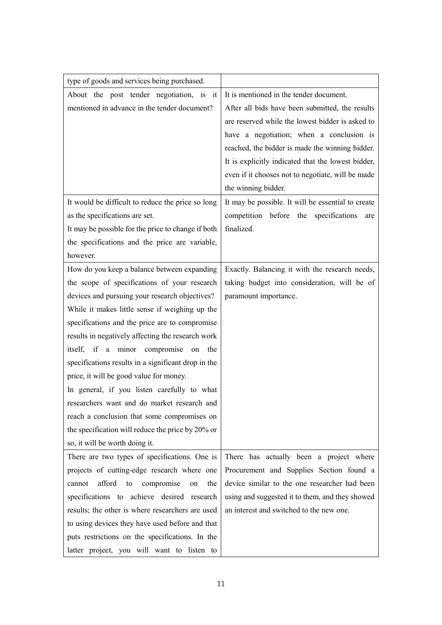| type of goods and services being purchased.         |                                                    |
|-----------------------------------------------------|----------------------------------------------------|
| About the post tender negotiation, is it            | It is mentioned in the tender document.            |
| mentioned in advance in the tender document?        | After all bids have been submitted, the results    |
|                                                     | are reserved while the lowest bidder is asked to   |
|                                                     | have a negotiation; when a conclusion is           |
|                                                     | reached, the bidder is made the winning bidder.    |
|                                                     | It is explicitly indicated that the lowest bidder, |
|                                                     | even if it chooses not to negotiate, will be made  |
|                                                     | the winning bidder.                                |
| It would be difficult to reduce the price so long   | It may be possible. It will be essential to create |
| as the specifications are set.                      | competition before the specifications<br>are       |
| It may be possible for the price to change if both  | finalized.                                         |
| the specifications and the price are variable,      |                                                    |
| however.                                            |                                                    |
| How do you keep a balance between expanding         | Exactly. Balancing it with the research needs,     |
| the scope of specifications of your research        | taking budget into consideration, will be of       |
| devices and pursuing your research objectives?      | paramount importance.                              |
| While it makes little sense if weighing up the      |                                                    |
| specifications and the price are to compromise      |                                                    |
| results in negatively affecting the research work   |                                                    |
| itself, if a minor compromise<br>on<br>the          |                                                    |
| specifications results in a significant drop in the |                                                    |
| price, it will be good value for money.             |                                                    |
| In general, if you listen carefully to what         |                                                    |
| researchers want and do market research and         |                                                    |
| reach a conclusion that some compromises on         |                                                    |
| the specification will reduce the price by 20% or   |                                                    |
| so, it will be worth doing it.                      |                                                    |
| There are two types of specifications. One is       | There has actually been a project where            |
| projects of cutting-edge research where one         | Procurement and Supplies Section found a           |
| afford<br>to<br>compromise<br>the<br>cannot<br>on   | device similar to the one researcher had been      |
| specifications to achieve desired research          | using and suggested it to them, and they showed    |
| results; the other is where researchers are used    | an interest and switched to the new one.           |
| to using devices they have used before and that     |                                                    |
| puts restrictions on the specifications. In the     |                                                    |
| latter project, you will want to listen to          |                                                    |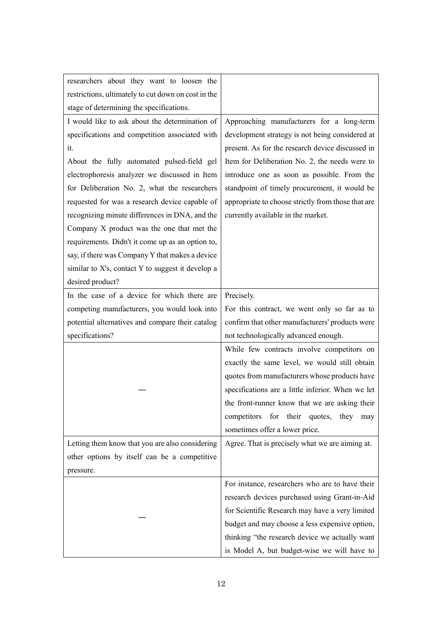| researchers about they want to loosen the           |                                                    |
|-----------------------------------------------------|----------------------------------------------------|
| restrictions, ultimately to cut down on cost in the |                                                    |
| stage of determining the specifications.            |                                                    |
| I would like to ask about the determination of      | Approaching manufacturers for a long-term          |
| specifications and competition associated with      | development strategy is not being considered at    |
| it.                                                 | present. As for the research device discussed in   |
| About the fully automated pulsed-field gel          | Item for Deliberation No. 2, the needs were to     |
| electrophoresis analyzer we discussed in Item       | introduce one as soon as possible. From the        |
| for Deliberation No. 2, what the researchers        | standpoint of timely procurement, it would be      |
| requested for was a research device capable of      | appropriate to choose strictly from those that are |
| recognizing minute differences in DNA, and the      | currently available in the market.                 |
| Company X product was the one that met the          |                                                    |
| requirements. Didn't it come up as an option to,    |                                                    |
| say, if there was Company Y that makes a device     |                                                    |
| similar to X's, contact Y to suggest it develop a   |                                                    |
| desired product?                                    |                                                    |
| In the case of a device for which there are         | Precisely.                                         |
| competing manufacturers, you would look into        | For this contract, we went only so far as to       |
| potential alternatives and compare their catalog    | confirm that other manufacturers' products were    |
| specifications?                                     | not technologically advanced enough.               |
|                                                     | While few contracts involve competitors on         |
|                                                     | exactly the same level, we would still obtain      |
|                                                     | quotes from manufacturers whose products have      |
|                                                     | specifications are a little inferior. When we let  |
|                                                     | the front-runner know that we are asking their     |
|                                                     | competitors for their quotes,<br>they<br>may       |
|                                                     | sometimes offer a lower price.                     |
| Letting them know that you are also considering     | Agree. That is precisely what we are aiming at.    |
| other options by itself can be a competitive        |                                                    |
| pressure.                                           |                                                    |
|                                                     | For instance, researchers who are to have their    |
|                                                     | research devices purchased using Grant-in-Aid      |
|                                                     | for Scientific Research may have a very limited    |
|                                                     | budget and may choose a less expensive option,     |
|                                                     | thinking "the research device we actually want     |
|                                                     | is Model A, but budget-wise we will have to        |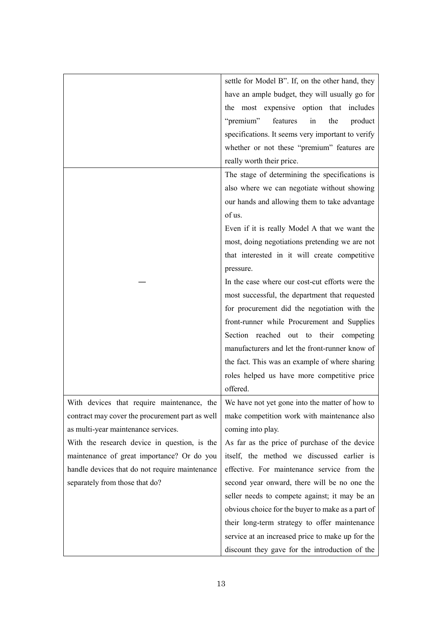|                                                 | settle for Model B". If, on the other hand, they  |
|-------------------------------------------------|---------------------------------------------------|
|                                                 | have an ample budget, they will usually go for    |
|                                                 | the most expensive option that includes           |
|                                                 | "premium"<br>features<br>the<br>product<br>in     |
|                                                 | specifications. It seems very important to verify |
|                                                 | whether or not these "premium" features are       |
|                                                 | really worth their price.                         |
|                                                 | The stage of determining the specifications is    |
|                                                 | also where we can negotiate without showing       |
|                                                 | our hands and allowing them to take advantage     |
|                                                 | of us.                                            |
|                                                 | Even if it is really Model A that we want the     |
|                                                 | most, doing negotiations pretending we are not    |
|                                                 | that interested in it will create competitive     |
|                                                 | pressure.                                         |
|                                                 | In the case where our cost-cut efforts were the   |
|                                                 | most successful, the department that requested    |
|                                                 | for procurement did the negotiation with the      |
|                                                 | front-runner while Procurement and Supplies       |
|                                                 | Section reached out to their competing            |
|                                                 | manufacturers and let the front-runner know of    |
|                                                 | the fact. This was an example of where sharing    |
|                                                 | roles helped us have more competitive price       |
|                                                 | offered.                                          |
| With devices that require maintenance, the      | We have not yet gone into the matter of how to    |
| contract may cover the procurement part as well | make competition work with maintenance also       |
| as multi-year maintenance services.             | coming into play.                                 |
| With the research device in question, is the    | As far as the price of purchase of the device     |
| maintenance of great importance? Or do you      | itself, the method we discussed earlier is        |
| handle devices that do not require maintenance  | effective. For maintenance service from the       |
| separately from those that do?                  | second year onward, there will be no one the      |
|                                                 | seller needs to compete against; it may be an     |
|                                                 | obvious choice for the buyer to make as a part of |
|                                                 | their long-term strategy to offer maintenance     |
|                                                 | service at an increased price to make up for the  |
|                                                 | discount they gave for the introduction of the    |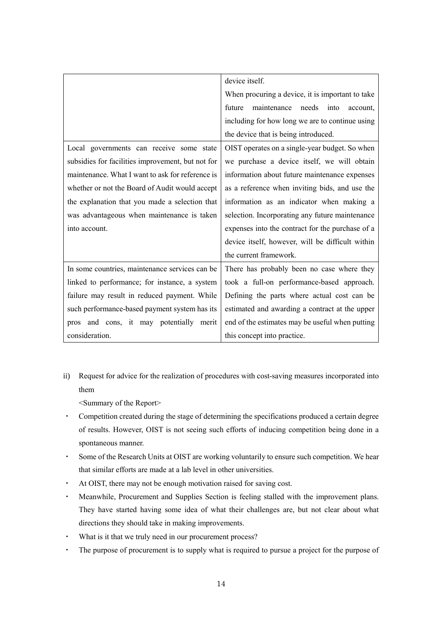|                                                   | device itself.                                   |
|---------------------------------------------------|--------------------------------------------------|
|                                                   | When procuring a device, it is important to take |
|                                                   | future<br>maintenance needs<br>into<br>account,  |
|                                                   | including for how long we are to continue using  |
|                                                   | the device that is being introduced.             |
| Local governments can receive some state          | OIST operates on a single-year budget. So when   |
| subsidies for facilities improvement, but not for | we purchase a device itself, we will obtain      |
| maintenance. What I want to ask for reference is  | information about future maintenance expenses    |
| whether or not the Board of Audit would accept    | as a reference when inviting bids, and use the   |
| the explanation that you made a selection that    | information as an indicator when making a        |
| was advantageous when maintenance is taken        | selection. Incorporating any future maintenance  |
| into account.                                     | expenses into the contract for the purchase of a |
|                                                   | device itself, however, will be difficult within |
|                                                   | the current framework.                           |
| In some countries, maintenance services can be    | There has probably been no case where they       |
| linked to performance; for instance, a system     | took a full-on performance-based approach.       |
| failure may result in reduced payment. While      | Defining the parts where actual cost can be      |
| such performance-based payment system has its     | estimated and awarding a contract at the upper   |
| pros and cons, it may potentially<br>merit        | end of the estimates may be useful when putting  |
| consideration.                                    | this concept into practice.                      |

ii) Request for advice for the realization of procedures with cost-saving measures incorporated into them

<Summary of the Report>

- ・ Competition created during the stage of determining the specifications produced a certain degree of results. However, OIST is not seeing such efforts of inducing competition being done in a spontaneous manner.
- ・ Some of the Research Units at OIST are working voluntarily to ensure such competition. We hear that similar efforts are made at a lab level in other universities.
- ・ At OIST, there may not be enough motivation raised for saving cost.
- ・ Meanwhile, Procurement and Supplies Section is feeling stalled with the improvement plans. They have started having some idea of what their challenges are, but not clear about what directions they should take in making improvements.
- ・ What is it that we truly need in our procurement process?
- ・ The purpose of procurement is to supply what is required to pursue a project for the purpose of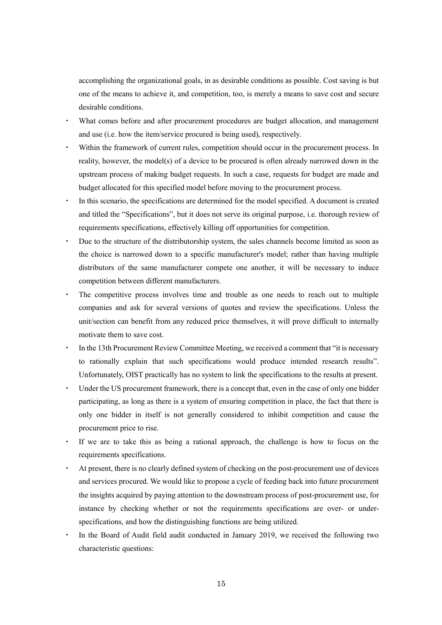accomplishing the organizational goals, in as desirable conditions as possible. Cost saving is but one of the means to achieve it, and competition, too, is merely a means to save cost and secure desirable conditions.

- What comes before and after procurement procedures are budget allocation, and management and use (i.e. how the item/service procured is being used), respectively.
- ・ Within the framework of current rules, competition should occur in the procurement process. In reality, however, the model(s) of a device to be procured is often already narrowed down in the upstream process of making budget requests. In such a case, requests for budget are made and budget allocated for this specified model before moving to the procurement process.
- In this scenario, the specifications are determined for the model specified. A document is created and titled the "Specifications", but it does not serve its original purpose, i.e. thorough review of requirements specifications, effectively killing off opportunities for competition.
- Due to the structure of the distributorship system, the sales channels become limited as soon as the choice is narrowed down to a specific manufacturer's model; rather than having multiple distributors of the same manufacturer compete one another, it will be necessary to induce competition between different manufacturers.
- The competitive process involves time and trouble as one needs to reach out to multiple companies and ask for several versions of quotes and review the specifications. Unless the unit/section can benefit from any reduced price themselves, it will prove difficult to internally motivate them to save cost.
- In the 13th Procurement Review Committee Meeting, we received a comment that "it is necessary to rationally explain that such specifications would produce intended research results". Unfortunately, OIST practically has no system to link the specifications to the results at present.
- Under the US procurement framework, there is a concept that, even in the case of only one bidder participating, as long as there is a system of ensuring competition in place, the fact that there is only one bidder in itself is not generally considered to inhibit competition and cause the procurement price to rise.
- If we are to take this as being a rational approach, the challenge is how to focus on the requirements specifications.
- At present, there is no clearly defined system of checking on the post-procurement use of devices and services procured. We would like to propose a cycle of feeding back into future procurement the insights acquired by paying attention to the downstream process of post-procurement use, for instance by checking whether or not the requirements specifications are over- or underspecifications, and how the distinguishing functions are being utilized.
- In the Board of Audit field audit conducted in January 2019, we received the following two characteristic questions: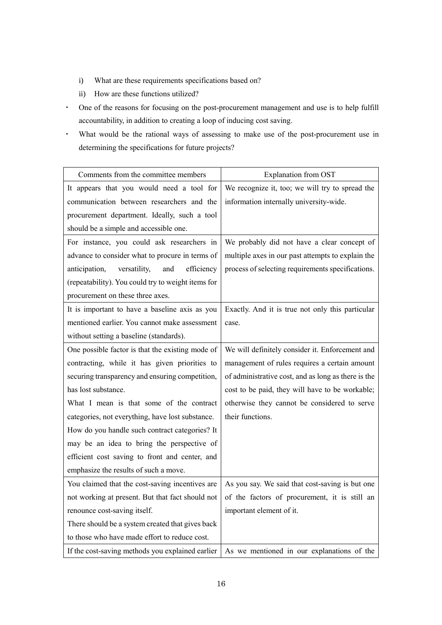- i) What are these requirements specifications based on?
- ii) How are these functions utilized?
- ・ One of the reasons for focusing on the post-procurement management and use is to help fulfill accountability, in addition to creating a loop of inducing cost saving.
- ・ What would be the rational ways of assessing to make use of the post-procurement use in determining the specifications for future projects?

| Comments from the committee members                | Explanation from OST                                                                           |
|----------------------------------------------------|------------------------------------------------------------------------------------------------|
| It appears that you would need a tool for          | We recognize it, too; we will try to spread the                                                |
| communication between researchers and the          | information internally university-wide.                                                        |
| procurement department. Ideally, such a tool       |                                                                                                |
| should be a simple and accessible one.             |                                                                                                |
| For instance, you could ask researchers in         | We probably did not have a clear concept of                                                    |
| advance to consider what to procure in terms of    | multiple axes in our past attempts to explain the                                              |
| efficiency<br>versatility,<br>anticipation,<br>and | process of selecting requirements specifications.                                              |
| (repeatability). You could try to weight items for |                                                                                                |
| procurement on these three axes.                   |                                                                                                |
| It is important to have a baseline axis as you     | Exactly. And it is true not only this particular                                               |
| mentioned earlier. You cannot make assessment      | case.                                                                                          |
| without setting a baseline (standards).            |                                                                                                |
| One possible factor is that the existing mode of   | We will definitely consider it. Enforcement and                                                |
| contracting, while it has given priorities to      | management of rules requires a certain amount                                                  |
| securing transparency and ensuring competition,    | of administrative cost, and as long as there is the                                            |
| has lost substance.                                | cost to be paid, they will have to be workable;                                                |
| What I mean is that some of the contract           | otherwise they cannot be considered to serve                                                   |
| categories, not everything, have lost substance.   | their functions.                                                                               |
| How do you handle such contract categories? It     |                                                                                                |
| may be an idea to bring the perspective of         |                                                                                                |
| efficient cost saving to front and center, and     |                                                                                                |
| emphasize the results of such a move.              |                                                                                                |
| You claimed that the cost-saving incentives are    | As you say. We said that cost-saving is but one                                                |
|                                                    | not working at present. But that fact should not of the factors of procurement, it is still an |
| renounce cost-saving itself.                       | important element of it.                                                                       |
| There should be a system created that gives back   |                                                                                                |
| to those who have made effort to reduce cost.      |                                                                                                |
| If the cost-saving methods you explained earlier   | As we mentioned in our explanations of the                                                     |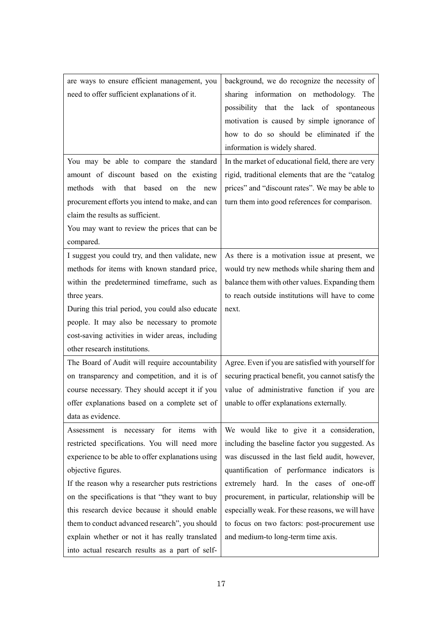| are ways to ensure efficient management, you      | background, we do recognize the necessity of       |
|---------------------------------------------------|----------------------------------------------------|
| need to offer sufficient explanations of it.      | sharing information on methodology. The            |
|                                                   | possibility that the lack of spontaneous           |
|                                                   | motivation is caused by simple ignorance of        |
|                                                   | how to do so should be eliminated if the           |
|                                                   | information is widely shared.                      |
| You may be able to compare the standard           | In the market of educational field, there are very |
| amount of discount based on the existing          | rigid, traditional elements that are the "catalog  |
| methods with that based on the new                | prices" and "discount rates". We may be able to    |
| procurement efforts you intend to make, and can   | turn them into good references for comparison.     |
| claim the results as sufficient.                  |                                                    |
| You may want to review the prices that can be     |                                                    |
| compared.                                         |                                                    |
| I suggest you could try, and then validate, new   | As there is a motivation issue at present, we      |
| methods for items with known standard price,      | would try new methods while sharing them and       |
| within the predetermined timeframe, such as       | balance them with other values. Expanding them     |
| three years.                                      | to reach outside institutions will have to come    |
| During this trial period, you could also educate  | next.                                              |
| people. It may also be necessary to promote       |                                                    |
| cost-saving activities in wider areas, including  |                                                    |
| other research institutions.                      |                                                    |
| The Board of Audit will require accountability    | Agree. Even if you are satisfied with yourself for |
| on transparency and competition, and it is of     | securing practical benefit, you cannot satisfy the |
| course necessary. They should accept it if you    | value of administrative function if you are        |
| offer explanations based on a complete set of     | unable to offer explanations externally.           |
| data as evidence.                                 |                                                    |
| Assessment is necessary for items with            | We would like to give it a consideration,          |
| restricted specifications. You will need more     | including the baseline factor you suggested. As    |
| experience to be able to offer explanations using | was discussed in the last field audit, however,    |
| objective figures.                                | quantification of performance indicators is        |
| If the reason why a researcher puts restrictions  | extremely hard. In the cases of one-off            |
| on the specifications is that "they want to buy   | procurement, in particular, relationship will be   |
| this research device because it should enable     | especially weak. For these reasons, we will have   |
| them to conduct advanced research", you should    | to focus on two factors: post-procurement use      |
| explain whether or not it has really translated   | and medium-to long-term time axis.                 |
| into actual research results as a part of self-   |                                                    |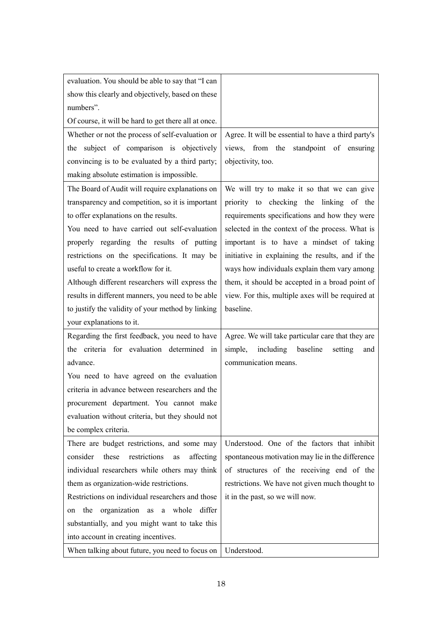| evaluation. You should be able to say that "I can    |                                                     |
|------------------------------------------------------|-----------------------------------------------------|
| show this clearly and objectively, based on these    |                                                     |
| numbers".                                            |                                                     |
| Of course, it will be hard to get there all at once. |                                                     |
| Whether or not the process of self-evaluation or     | Agree. It will be essential to have a third party's |
| the subject of comparison is objectively             | views, from the standpoint of ensuring              |
| convincing is to be evaluated by a third party;      | objectivity, too.                                   |
| making absolute estimation is impossible.            |                                                     |
| The Board of Audit will require explanations on      | We will try to make it so that we can give          |
| transparency and competition, so it is important     | priority to checking the linking of the             |
| to offer explanations on the results.                | requirements specifications and how they were       |
| You need to have carried out self-evaluation         | selected in the context of the process. What is     |
| properly regarding the results of putting            | important is to have a mindset of taking            |
| restrictions on the specifications. It may be        | initiative in explaining the results, and if the    |
| useful to create a workflow for it.                  | ways how individuals explain them vary among        |
| Although different researchers will express the      | them, it should be accepted in a broad point of     |
| results in different manners, you need to be able    | view. For this, multiple axes will be required at   |
| to justify the validity of your method by linking    | baseline.                                           |
| your explanations to it.                             |                                                     |
| Regarding the first feedback, you need to have       | Agree. We will take particular care that they are   |
| the criteria for evaluation determined in            | including baseline<br>simple,<br>setting<br>and     |
| advance.                                             | communication means.                                |
| You need to have agreed on the evaluation            |                                                     |
| criteria in advance between researchers and the      |                                                     |
| procurement department. You cannot make              |                                                     |
| evaluation without criteria, but they should not     |                                                     |
| be complex criteria.                                 |                                                     |
| There are budget restrictions, and some may          | Understood. One of the factors that inhibit         |
| consider<br>restrictions<br>these<br>affecting<br>as | spontaneous motivation may lie in the difference    |
| individual researchers while others may think        | of structures of the receiving end of the           |
| them as organization-wide restrictions.              | restrictions. We have not given much thought to     |
| Restrictions on individual researchers and those     | it in the past, so we will now.                     |
| organization as a whole differ<br>the<br>on          |                                                     |
| substantially, and you might want to take this       |                                                     |
| into account in creating incentives.                 |                                                     |
| When talking about future, you need to focus on      | Understood.                                         |